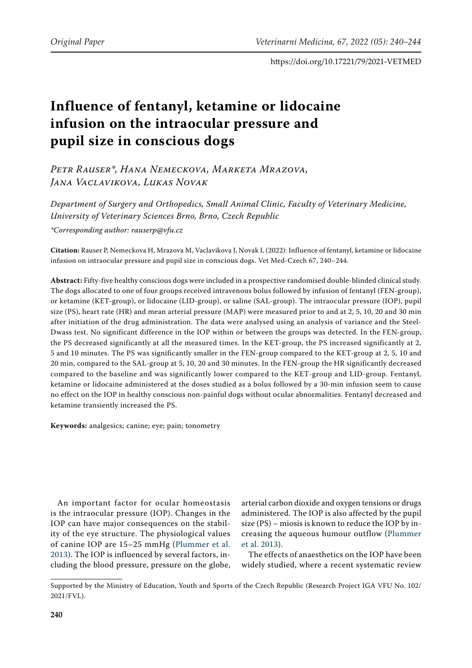# **Influence of fentanyl, ketamine or lidocaine infusion on the intraocular pressure and pupil size in conscious dogs**

*Petr Rauser\*, Hana Nemeckova, Marketa Mrazova, Jana Vaclavikova, Lukas Novak*

*Department of Surgery and Orthopedics, Small Animal Clinic, Faculty of Veterinary Medicine, University of Veterinary Sciences Brno, Brno, Czech Republic \*Corresponding author: rauserp@vfu.cz*

**Citation:** Rauser P, Nemeckova H, Mrazova M, Vaclavikova J, Novak L (2022): Influence of fentanyl, ketamine or lidocaine infusion on intraocular pressure and pupil size in conscious dogs. Vet Med-Czech 67, 240–244.

**Abstract:** Fifty-five healthy conscious dogs were included in a prospective randomised double-blinded clinical study. The dogs allocated to one of four groups received intravenous bolus followed by infusion of fentanyl (FEN-group), or ketamine (KET-group), or lidocaine (LID-group), or saline (SAL-group). The intraocular pressure (IOP), pupil size (PS), heart rate (HR) and mean arterial pressure (MAP) were measured prior to and at 2, 5, 10, 20 and 30 min after initiation of the drug administration. The data were analysed using an analysis of variance and the Steel-Dwass test. No significant difference in the IOP within or between the groups was detected. In the FEN-group, the PS decreased significantly at all the measured times. In the KET-group, the PS increased significantly at 2, 5 and 10 minutes. The PS was significantly smaller in the FEN-group compared to the KET-group at 2, 5, 10 and 20 min, compared to the SAL-group at 5, 10, 20 and 30 minutes. In the FEN-group the HR significantly decreased compared to the baseline and was significantly lower compared to the KET-group and LID-group. Fentanyl, ketamine or lidocaine administered at the doses studied as a bolus followed by a 30-min infusion seem to cause no effect on the IOP in healthy conscious non-painful dogs without ocular abnormalities. Fentanyl decreased and ketamine transiently increased the PS.

**Keywords:** analgesics; canine; eye; pain; tonometry

An important factor for ocular homeostasis is the intraocular pressure (IOP). Changes in the IOP can have major consequences on the stability of the eye structure. The physiological values of canine IOP are 15–25 mmHg ([Plummer et al.](#page-4-0)  [2013](#page-4-0)). The IOP is influenced by several factors, including the blood pressure, pressure on the globe,

arterial carbon dioxide and oxygen tensions or drugs administered. The IOP is also affected by the pupil size (PS) – miosis is known to reduce the IOP by increasing the aqueous humour outflow ([Plummer](#page-4-0) [et al. 2013\)](#page-4-0).

The effects of anaesthetics on the IOP have been widely studied, where a recent systematic review

Supported by the Ministry of Education, Youth and Sports of the Czech Republic (Research Project IGA VFU No. 102/ 2021/FVL).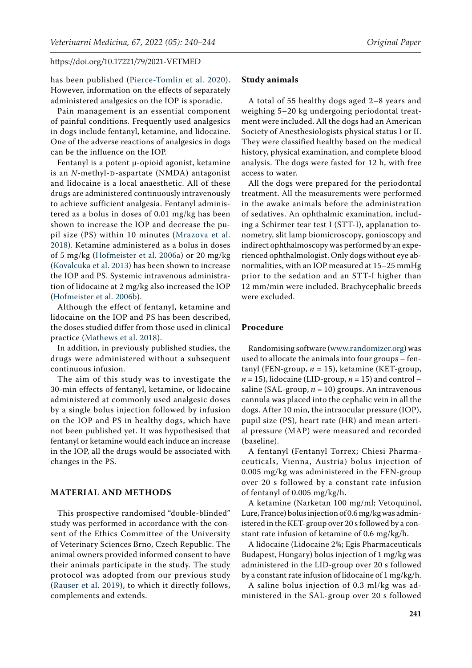has been published [\(Pierce-Tomlin et al. 2020](#page-4-1)). However, information on the effects of separately administered analgesics on the IOP is sporadic.

Pain management is an essential component of painful conditions. Frequently used analgesics in dogs include fentanyl, ketamine, and lidocaine. One of the adverse reactions of analgesics in dogs can be the influence on the IOP.

Fentanyl is a potent μ-opioid agonist, ketamine is an *N*-methyl-D-aspartate (NMDA) antagonist and lidocaine is a local anaesthetic. All of these drugs are administered continuously intravenously to achieve sufficient analgesia. Fentanyl administered as a bolus in doses of 0.01 mg/kg has been shown to increase the IOP and decrease the pupil size (PS) within 10 minutes ([Mrazova et al.](#page-4-2)  [2018\)](#page-4-2). Ketamine administered as a bolus in doses of 5 mg/kg [\(Hofmeister et al. 2006a\)](#page-4-3) or 20 mg/kg [\(Kovalcuka et al. 2013](#page-4-4)) has been shown to increase the IOP and PS. Systemic intravenous administration of lidocaine at 2 mg/kg also increased the IOP [\(Hofmeister et al. 2006b\)](#page-4-5).

Although the effect of fentanyl, ketamine and lidocaine on the IOP and PS has been described, the doses studied differ from those used in clinical practice ([Mathews et al. 2018](#page-4-6)).

In addition, in previously published studies, the drugs were administered without a subsequent continuous infusion.

The aim of this study was to investigate the 30-min effects of fentanyl, ketamine, or lidocaine administered at commonly used analgesic doses by a single bolus injection followed by infusion on the IOP and PS in healthy dogs, which have not been published yet. It was hypothesised that fentanyl or ketamine would each induce an increase in the IOP, all the drugs would be associated with changes in the PS.

## **MATERIAL AND METHODS**

This prospective randomised "double-blinded" study was performed in accordance with the consent of the Ethics Committee of the University of Veterinary Sciences Brno, Czech Republic. The animal owners provided informed consent to have their animals participate in the study. The study protocol was adopted from our previous study ([Rauser et al. 2019](#page-4-7)), to which it directly follows, complements and extends.

#### **Study animals**

A total of 55 healthy dogs aged 2–8 years and weighing 5–20 kg undergoing periodontal treatment were included. All the dogs had an American Society of Anesthesiologists physical status I or II. They were classified healthy based on the medical history, physical examination, and complete blood analysis. The dogs were fasted for 12 h, with free access to water.

All the dogs were prepared for the periodontal treatment. All the measurements were performed in the awake animals before the administration of sedatives. An ophthalmic examination, including a Schirmer tear test I (STT-I), applanation tonometry, slit lamp biomicroscopy, gonioscopy and indirect ophthalmoscopy was performed by an experienced ophthalmologist. Only dogs without eye abnormalities, with an IOP measured at 15–25 mmHg prior to the sedation and an STT-I higher than 12 mm/min were included. Brachycephalic breeds were excluded.

## **Procedure**

Randomising software ([www.randomizer.org\)](http://www.randomizer.org) was used to allocate the animals into four groups – fentanyl (FEN-group, *n* = 15), ketamine (KET-group,  $n = 15$ ), lidocaine (LID-group,  $n = 15$ ) and control – saline (SAL-group,  $n = 10$ ) groups. An intravenous cannula was placed into the cephalic vein in all the dogs. After 10 min, the intraocular pressure (IOP), pupil size (PS), heart rate (HR) and mean arterial pressure (MAP) were measured and recorded (baseline).

A fentanyl (Fentanyl Torrex; Chiesi Pharmaceuticals, Vienna, Austria) bolus injection of 0.005 mg/kg was administered in the FEN-group over 20 s followed by a constant rate infusion of fentanyl of 0.005 mg/kg/h.

A ketamine (Narketan 100 mg/ml; Vetoquinol, Lure, France) bolus injection of 0.6 mg/kg was administered in the KET-group over 20 s followed by a constant rate infusion of ketamine of 0.6 mg/kg/h.

A lidocaine (Lidocaine 2%; Egis Pharmaceuticals Budapest, Hungary) bolus injection of 1 mg/kg was administered in the LID-group over 20 s followed by a constant rate infusion of lidocaine of 1 mg/kg/h.

A saline bolus injection of 0.3 ml/kg was administered in the SAL-group over 20 s followed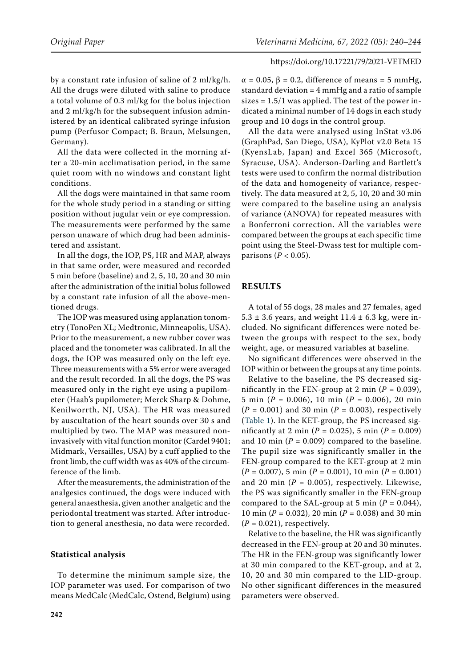by a constant rate infusion of saline of 2 ml/kg/h. All the drugs were diluted with saline to produce a total volume of 0.3 ml/kg for the bolus injection and 2 ml/kg/h for the subsequent infusion administered by an identical calibrated syringe infusion pump (Perfusor Compact; B. Braun, Melsungen, Germany).

All the data were collected in the morning after a 20-min acclimatisation period, in the same quiet room with no windows and constant light conditions.

All the dogs were maintained in that same room for the whole study period in a standing or sitting position without jugular vein or eye compression. The measurements were performed by the same person unaware of which drug had been administered and assistant.

In all the dogs, the IOP, PS, HR and MAP, always in that same order, were measured and recorded 5 min before (baseline) and 2, 5, 10, 20 and 30 min after the administration of the initial bolus followed by a constant rate infusion of all the above-mentioned drugs.

The IOP was measured using applanation tonometry (TonoPen XL; Medtronic, Minneapolis, USA). Prior to the measurement, a new rubber cover was placed and the tonometer was calibrated. In all the dogs, the IOP was measured only on the left eye. Three measurements with a 5% error were averaged and the result recorded. In all the dogs, the PS was measured only in the right eye using a pupilometer (Haab's pupilometer; Merck Sharp & Dohme, Kenilworrth, NJ, USA). The HR was measured by auscultation of the heart sounds over 30 s and multiplied by two. The MAP was measured noninvasively with vital function monitor (Cardel 9401; Midmark, Versailles, USA) by a cuff applied to the front limb, the cuff width was as 40% of the circumference of the limb.

After the measurements, the administration of the analgesics continued, the dogs were induced with general anaesthesia, given another analgetic and the periodontal treatment was started. After introduction to general anesthesia, no data were recorded.

## **Statistical analysis**

To determine the minimum sample size, the IOP parameter was used. For comparison of two means MedCalc (MedCalc, Ostend, Belgium) using

 $\alpha = 0.05$ ,  $\beta = 0.2$ , difference of means = 5 mmHg, standard deviation = 4 mmHg and a ratio of sample sizes  $= 1.5/1$  was applied. The test of the power indicated a minimal number of 14 dogs in each study group and 10 dogs in the control group.

All the data were analysed using InStat v3.06 (GraphPad, San Diego, USA), KyPlot v2.0 Beta 15 (KyensLab, Japan) and Excel 365 (Microsoft, Syracuse, USA). Anderson-Darling and Bartlett's tests were used to confirm the normal distribution of the data and homogeneity of variance, respectively. The data measured at 2, 5, 10, 20 and 30 min were compared to the baseline using an analysis of variance (ANOVA) for repeated measures with a Bonferroni correction. All the variables were compared between the groups at each specific time point using the Steel-Dwass test for multiple comparisons  $(P < 0.05)$ .

## **RESULTS**

A total of 55 dogs, 28 males and 27 females, aged  $5.3 \pm 3.6$  years, and weight  $11.4 \pm 6.3$  kg, were included. No significant differences were noted between the groups with respect to the sex, body weight, age, or measured variables at baseline.

No significant differences were observed in the IOP within or between the groups at any time points.

Relative to the baseline, the PS decreased significantly in the FEN-group at 2 min ( $P = 0.039$ ), 5 min (*P =* 0.006), 10 min (*P =* 0.006), 20 min (*P =* 0.001) and 30 min (*P =* 0.003), respectively ([Table 1\)](#page-3-0). In the KET-group, the PS increased significantly at 2 min ( $P = 0.025$ ), 5 min ( $P = 0.009$ ) and 10 min  $(P = 0.009)$  compared to the baseline. The pupil size was significantly smaller in the FEN-group compared to the KET-group at 2 min (*P =* 0.007), 5 min (*P =* 0.001), 10 min (*P =* 0.001) and 20 min  $(P = 0.005)$ , respectively. Likewise, the PS was significantly smaller in the FEN-group compared to the SAL-group at 5 min  $(P = 0.044)$ , 10 min (*P =* 0.032), 20 min (*P =* 0.038) and 30 min  $(P = 0.021)$ , respectively.

Relative to the baseline, the HR was significantly decreased in the FEN-group at 20 and 30 minutes. The HR in the FEN-group was significantly lower at 30 min compared to the KET-group, and at 2, 10, 20 and 30 min compared to the LID-group. No other significant differences in the measured parameters were observed.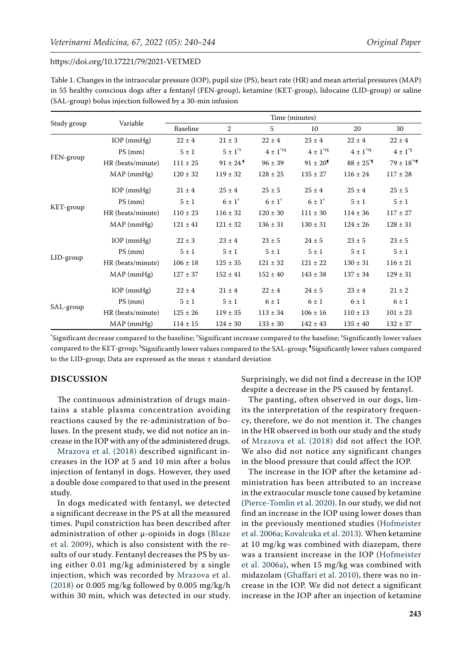<span id="page-3-0"></span>

| Table 1. Changes in the intraocular pressure (IOP), pupil size (PS), heart rate (HR) and mean arterial pressures (MAP) |
|------------------------------------------------------------------------------------------------------------------------|
| in 55 healthy conscious dogs after a fentanyl (FEN-group), ketamine (KET-group), lidocaine (LID-group) or saline       |
| (SAL-group) bolus injection followed by a 30-min infusion                                                              |

| Study group | Variable          | Time (minutes) |                          |                         |                        |                          |                 |
|-------------|-------------------|----------------|--------------------------|-------------------------|------------------------|--------------------------|-----------------|
|             |                   | Baseline       | 2                        | 5                       | 10                     | 20                       | 30              |
| FEN-group   | $IOP$ (mm $Hg$ )  | $22 \pm 4$     | $21 \pm 3$               | $22 \pm 4$              | $23 \pm 4$             | $22 \pm 4$               | $22 \pm 4$      |
|             | $PS$ (mm)         | $5 \pm 1$      | $5 \pm 1^{*}$            | $4 \pm 1$ <sup>**</sup> | $4 \pm 1^{**}$         | $4 \pm 1^{\ast +}$       | $4 \pm 1^{*5}$  |
|             | HR (beats/minute) | $111 \pm 25$   | $91 \pm 24$ <sup>9</sup> | $96 \pm 39$             | $91 \pm 20^9$          | $88 \pm 25$ <sup>*</sup> | $79 \pm 18^{4}$ |
|             | $MAP$ (mm $Hg$ )  | $120 \pm 32$   | $119 \pm 32$             | $128 \pm 25$            | $135 \pm 27$           | $116 \pm 24$             | $117 \pm 28$    |
| KET-group   | $IOP$ (mm $Hg$ )  | $21 \pm 4$     | $25 \pm 4$               | $25 \pm 5$              | $25 \pm 4$             | $25 \pm 4$               | $25 \pm 5$      |
|             | $PS$ (mm)         | $5 \pm 1$      | $6 \pm 1^+$              | $6 \pm 1$ <sup>+</sup>  | $6 \pm 1$ <sup>†</sup> | $5 \pm 1$                | $5 \pm 1$       |
|             | HR (beats/minute) | $110 \pm 23$   | $116 \pm 32$             | $120 \pm 30$            | $111 \pm 30$           | $114 \pm 36$             | $117 \pm 27$    |
|             | $MAP$ (mm $Hg$ )  | $121 \pm 41$   | $121 \pm 32$             | $136 \pm 31$            | $130 \pm 31$           | $124 \pm 26$             | $128 \pm 31$    |
| LID-group   | $IOP$ (mmHg)      | $22 \pm 3$     | $23 \pm 4$               | $23 \pm 5$              | $24 \pm 5$             | $23 \pm 5$               | $23 \pm 5$      |
|             | $PS$ (mm)         | $5 \pm 1$      | $5 \pm 1$                | $5 \pm 1$               | $5 \pm 1$              | $5 \pm 1$                | $5 \pm 1$       |
|             | HR (beats/minute) | $106 \pm 18$   | $125 \pm 35$             | $121 \pm 32$            | $121 \pm 22$           | $130 \pm 31$             | $116 \pm 21$    |
|             | $MAP$ (mm $Hg$ )  | $127 \pm 37$   | $152 \pm 41$             | $152 \pm 40$            | $143 \pm 38$           | $137 \pm 34$             | $129 \pm 31$    |
| SAL-group   | $IOP$ (mmHg)      | $22 \pm 4$     | $21 \pm 4$               | $22 \pm 4$              | $24 \pm 5$             | $23 \pm 4$               | $21 \pm 2$      |
|             | $PS$ (mm)         | $5 \pm 1$      | $5 \pm 1$                | $6 \pm 1$               | $6 \pm 1$              | $6 \pm 1$                | $6 \pm 1$       |
|             | HR (beats/minute) | $125 \pm 26$   | $119 \pm 35$             | $113 \pm 34$            | $106 \pm 16$           | $110 \pm 13$             | $101 \pm 23$    |
|             | $MAP$ (mm $Hg$ )  | $114 \pm 15$   | $124 \pm 30$             | $133 \pm 30$            | $142 \pm 43$           | $135 \pm 40$             | $132 \pm 37$    |

**\*** Significant decrease compared to the baseline; **†** Significant increase compared to the baseline; ‡ Significantly lower values compared to the KET-group; § Significantly lower values compared to the SAL-group; ¶ Significantly lower values compared to the LID-group; Data are expressed as the mean ± standard deviation

# **DISCUSSION**

The continuous administration of drugs maintains a stable plasma concentration avoiding reactions caused by the re-administration of boluses. In the present study, we did not notice an increase in the IOP with any of the administered drugs.

[Mrazova et al. \(2018\) d](#page-4-2)escribed significant increases in the IOP at 5 and 10 min after a bolus injection of fentanyl in dogs. However, they used a double dose compared to that used in the present study.

In dogs medicated with fentanyl, we detected a significant decrease in the PS at all the measured times. Pupil constriction has been described after administration of other μ-opioids in dogs ([Blaze](#page-4-8)  [et al. 2009](#page-4-8)), which is also consistent with the results of our study. Fentanyl decreases the PS by using either 0.01 mg/kg administered by a single injection, which was recorded by [Mrazova et al.](#page-4-2)  [\(2018\)](#page-4-2) or 0.005 mg/kg followed by 0.005 mg/kg/h within 30 min, which was detected in our study. Surprisingly, we did not find a decrease in the IOP despite a decrease in the PS caused by fentanyl.

The panting, often observed in our dogs, limits the interpretation of the respiratory frequency, therefore, we do not mention it. The changes in the HR observed in both our study and the study of [Mrazova et al. \(2018\) d](#page-4-2)id not affect the IOP. We also did not notice any significant changes in the blood pressure that could affect the IOP.

The increase in the IOP after the ketamine administration has been attributed to an increase in the extraocular muscle tone caused by ketamine [\(Pierce-Tomlin et al. 2020](#page-4-1)). In our study, we did not find an increase in the IOP using lower doses than in the previously mentioned studies ([Hofmeister](#page-4-3) [et al. 2006a](#page-4-3); [Kovalcuka et al. 2013](#page-4-4)). When ketamine at 10 mg/kg was combined with diazepam, there was a transient increase in the IOP ([Hofmeister](#page-4-3) [et al. 2006a\)](#page-4-3), when 15 mg/kg was combined with midazolam ([Ghaffari et al. 2010](#page-4-9)), there was no increase in the IOP. We did not detect a significant increase in the IOP after an injection of ketamine